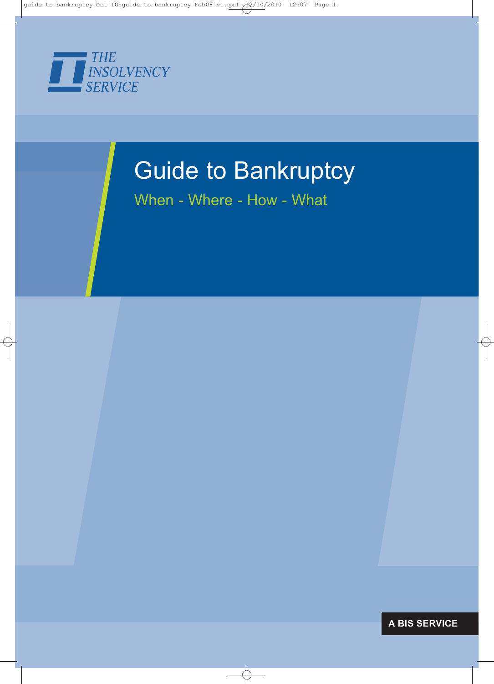

# Guide to Bankruptcy

When - Where - How - What

**A BIS SERVICE**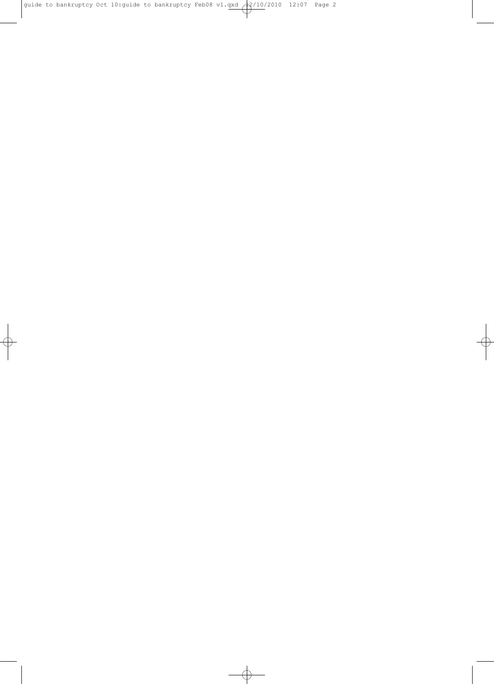guide to bankruptcy Oct 10:guide to bankruptcy Feb08 v1. $\frac{qxd}{x^{2}}$ /10/2010 12:07 Page 2

 $\rightarrow$ 

 $\overline{\varphi}$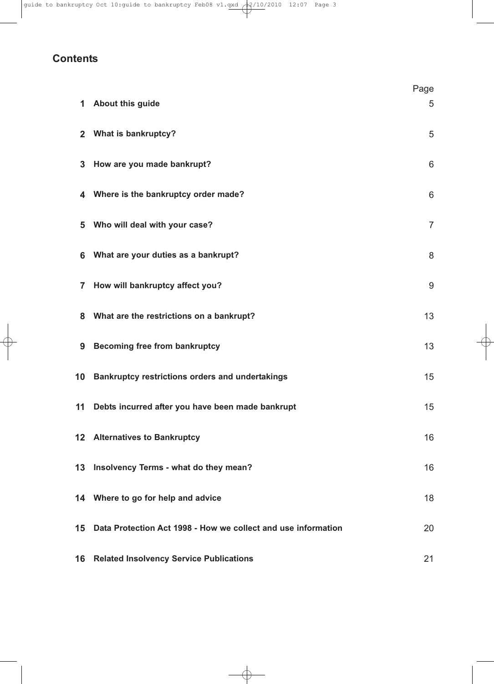## **Contents**

| 1              | About this guide                                              | Page<br>5      |
|----------------|---------------------------------------------------------------|----------------|
| $\overline{2}$ | <b>What is bankruptcy?</b>                                    | 5              |
| $3^{\circ}$    | How are you made bankrupt?                                    | 6              |
| 4              | Where is the bankruptcy order made?                           | 6              |
| 5              | Who will deal with your case?                                 | $\overline{7}$ |
| 6              | What are your duties as a bankrupt?                           | 8              |
| 7              | How will bankruptcy affect you?                               | 9              |
| 8              | What are the restrictions on a bankrupt?                      | 13             |
| 9              | <b>Becoming free from bankruptcy</b>                          | 13             |
| 10             | <b>Bankruptcy restrictions orders and undertakings</b>        | 15             |
| 11             | Debts incurred after you have been made bankrupt              | 15             |
|                | 12 Alternatives to Bankruptcy                                 | 16             |
| 13             | Insolvency Terms - what do they mean?                         | 16             |
| 14             | Where to go for help and advice                               | 18             |
| 15             | Data Protection Act 1998 - How we collect and use information | 20             |
| 16             | <b>Related Insolvency Service Publications</b>                | 21             |

 $\rightarrow$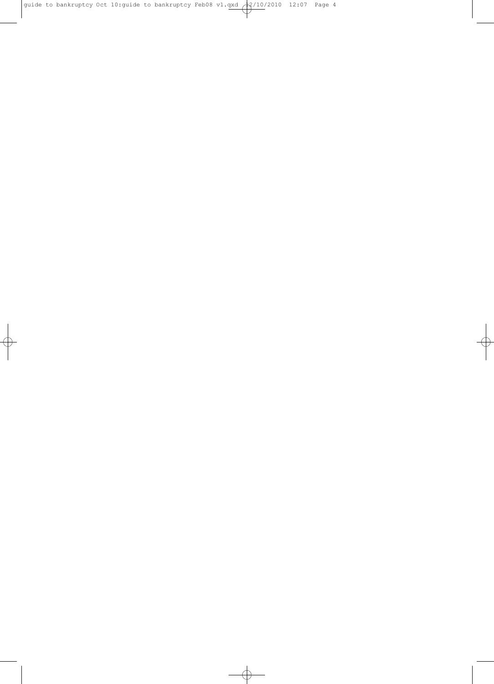guide to bankruptcy Oct 10:guide to bankruptcy Feb08 v1. $\frac{qxd}{x^{2}}$ /10/2010 12:07 Page 4

 $\rightarrow$ 

 $\overline{\mathcal{A}}$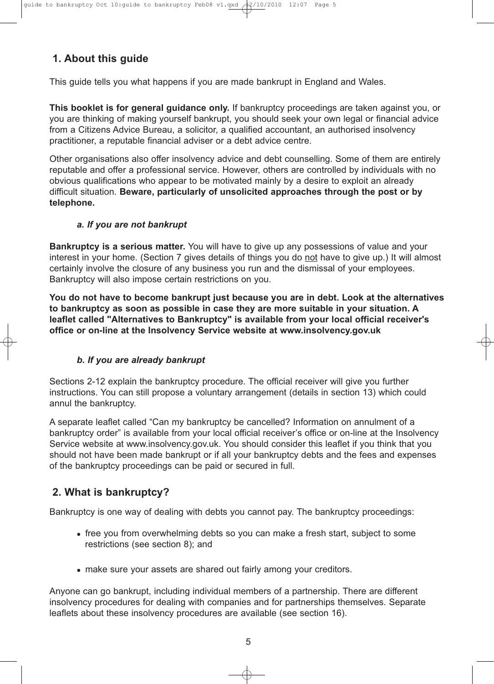## **1. About this guide**

This guide tells you what happens if you are made bankrupt in England and Wales.

**This booklet is for general guidance only.** If bankruptcy proceedings are taken against you, or you are thinking of making yourself bankrupt, you should seek your own legal or financial advice from a Citizens Advice Bureau, a solicitor, a qualified accountant, an authorised insolvency practitioner, a reputable financial adviser or a debt advice centre.

Other organisations also offer insolvency advice and debt counselling. Some of them are entirely reputable and offer a professional service. However, others are controlled by individuals with no obvious qualifications who appear to be motivated mainly by a desire to exploit an already difficult situation. **Beware, particularly of unsolicited approaches through the post or by telephone.**

## *a. If you are not bankrupt*

**Bankruptcy is a serious matter.** You will have to give up any possessions of value and your interest in your home. (Section 7 gives details of things you do not have to give up.) It will almost certainly involve the closure of any business you run and the dismissal of your employees. Bankruptcy will also impose certain restrictions on you.

**You do not have to become bankrupt just because you are in debt. Look at the alternatives to bankruptcy as soon as possible in case they are more suitable in your situation. A leaflet called "Alternatives to Bankruptcy" is available from your local official receiver's office or on-line at the Insolvency Service website at www.insolvency.gov.uk**

## *b. If you are already bankrupt*

Sections 2-12 explain the bankruptcy procedure. The official receiver will give you further instructions. You can still propose a voluntary arrangement (details in section 13) which could annul the bankruptcy.

A separate leaflet called "Can my bankruptcy be cancelled? Information on annulment of a bankruptcy order" is available from your local official receiver's office or on-line at the Insolvency Service website at www.insolvency.gov.uk. You should consider this leaflet if you think that you should not have been made bankrupt or if all your bankruptcy debts and the fees and expenses of the bankruptcy proceedings can be paid or secured in full.

## **2. What is bankruptcy?**

Bankruptcy is one way of dealing with debts you cannot pay. The bankruptcy proceedings:

- free you from overwhelming debts so you can make a fresh start, subject to some restrictions (see section 8); and
- make sure your assets are shared out fairly among your creditors.

Anyone can go bankrupt, including individual members of a partnership. There are different insolvency procedures for dealing with companies and for partnerships themselves. Separate leaflets about these insolvency procedures are available (see section 16).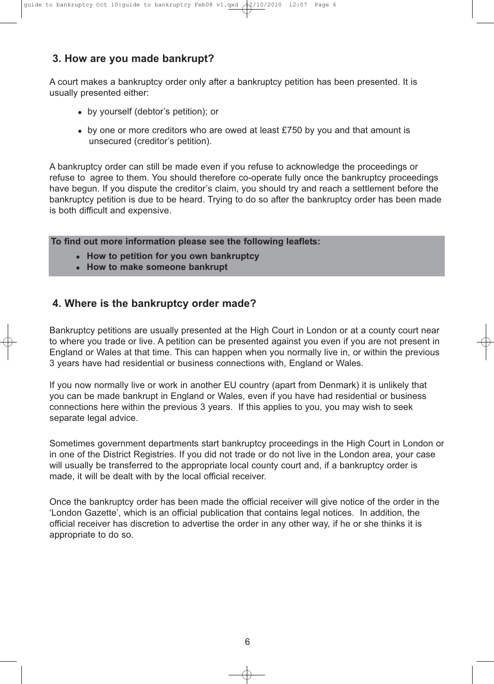## **3. How are you made bankrupt?**

A court makes a bankruptcy order only after a bankruptcy petition has been presented. It is usually presented either:

- by yourself (debtor's petition); or
- by one or more creditors who are owed at least £750 by you and that amount is unsecured (creditor's petition).

A bankruptcy order can still be made even if you refuse to acknowledge the proceedings or refuse to agree to them. You should therefore co-operate fully once the bankruptcy proceedings have begun. If you dispute the creditor's claim, you should try and reach a settlement before the bankruptcy petition is due to be heard. Trying to do so after the bankruptcy order has been made is both difficult and expensive.

**To find out more information please see the following leaflets:**

- **How to petition for you own bankruptcy**
- **How to make someone bankrupt**

## **4. Where is the bankruptcy order made?**

Bankruptcy petitions are usually presented at the High Court in London or at a county court near to where you trade or live. A petition can be presented against you even if you are not present in England or Wales at that time. This can happen when you normally live in, or within the previous 3 years have had residential or business connections with, England or Wales.

If you now normally live or work in another EU country (apart from Denmark) it is unlikely that you can be made bankrupt in England or Wales, even if you have had residential or business connections here within the previous 3 years. If this applies to you, you may wish to seek separate legal advice.

Sometimes government departments start bankruptcy proceedings in the High Court in London or in one of the District Registries. If you did not trade or do not live in the London area, your case will usually be transferred to the appropriate local county court and, if a bankruptcy order is made, it will be dealt with by the local official receiver.

Once the bankruptcy order has been made the official receiver will give notice of the order in the 'London Gazette', which is an official publication that contains legal notices. In addition, the official receiver has discretion to advertise the order in any other way, if he or she thinks it is appropriate to do so.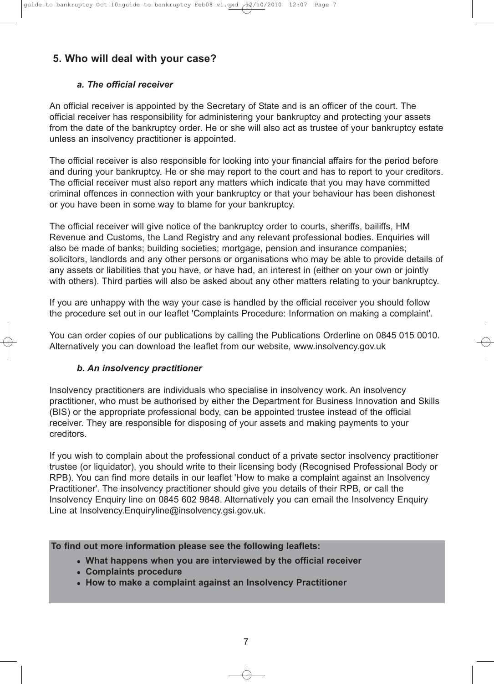## **5. Who will deal with your case?**

## *a. The official receiver*

An official receiver is appointed by the Secretary of State and is an officer of the court. The official receiver has responsibility for administering your bankruptcy and protecting your assets from the date of the bankruptcy order. He or she will also act as trustee of your bankruptcy estate unless an insolvency practitioner is appointed.

The official receiver is also responsible for looking into your financial affairs for the period before and during your bankruptcy. He or she may report to the court and has to report to your creditors. The official receiver must also report any matters which indicate that you may have committed criminal offences in connection with your bankruptcy or that your behaviour has been dishonest or you have been in some way to blame for your bankruptcy.

The official receiver will give notice of the bankruptcy order to courts, sheriffs, bailiffs, HM Revenue and Customs, the Land Registry and any relevant professional bodies. Enquiries will also be made of banks; building societies; mortgage, pension and insurance companies; solicitors, landlords and any other persons or organisations who may be able to provide details of any assets or liabilities that you have, or have had, an interest in (either on your own or jointly with others). Third parties will also be asked about any other matters relating to your bankruptcy.

If you are unhappy with the way your case is handled by the official receiver you should follow the procedure set out in our leaflet 'Complaints Procedure: Information on making a complaint'.

You can order copies of our publications by calling the Publications Orderline on 0845 015 0010. Alternatively you can download the leaflet from our website, www.insolvency.gov.uk

## *b. An insolvency practitioner*

Insolvency practitioners are individuals who specialise in insolvency work. An insolvency practitioner, who must be authorised by either the Department for Business Innovation and Skills (BIS) or the appropriate professional body, can be appointed trustee instead of the official receiver. They are responsible for disposing of your assets and making payments to your creditors.

If you wish to complain about the professional conduct of a private sector insolvency practitioner trustee (or liquidator), you should write to their licensing body (Recognised Professional Body or RPB). You can find more details in our leaflet 'How to make a complaint against an Insolvency Practitioner'. The insolvency practitioner should give you details of their RPB, or call the Insolvency Enquiry line on 0845 602 9848. Alternatively you can email the Insolvency Enquiry Line at Insolvency.Enquiryline@insolvency.gsi.gov.uk.

**To find out more information please see the following leaflets:**

- **What happens when you are interviewed by the official receiver**
- **Complaints procedure**
- **How to make a complaint against an Insolvency Practitioner**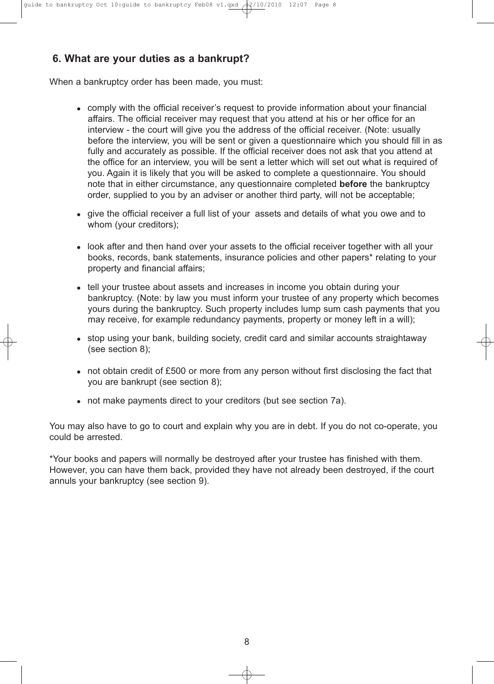## **6. What are your duties as a bankrupt?**

When a bankruptcy order has been made, you must:

- comply with the official receiver's request to provide information about your financial affairs. The official receiver may request that you attend at his or her office for an interview - the court will give you the address of the official receiver. (Note: usually before the interview, you will be sent or given a questionnaire which you should fill in as fully and accurately as possible. If the official receiver does not ask that you attend at the office for an interview, you will be sent a letter which will set out what is required of you. Again it is likely that you will be asked to complete a questionnaire. You should note that in either circumstance, any questionnaire completed **before** the bankruptcy order, supplied to you by an adviser or another third party, will not be acceptable;
- give the official receiver a full list of your assets and details of what you owe and to whom (your creditors);
- look after and then hand over your assets to the official receiver together with all your books, records, bank statements, insurance policies and other papers\* relating to your property and financial affairs;
- tell your trustee about assets and increases in income you obtain during your bankruptcy. (Note: by law you must inform your trustee of any property which becomes yours during the bankruptcy. Such property includes lump sum cash payments that you may receive, for example redundancy payments, property or money left in a will);
- $\bullet$  stop using your bank, building society, credit card and similar accounts straightaway (see section 8);
- not obtain credit of £500 or more from any person without first disclosing the fact that you are bankrupt (see section 8);
- not make payments direct to your creditors (but see section 7a).

You may also have to go to court and explain why you are in debt. If you do not co-operate, you could be arrested.

\*Your books and papers will normally be destroyed after your trustee has finished with them. However, you can have them back, provided they have not already been destroyed, if the court annuls your bankruptcy (see section 9).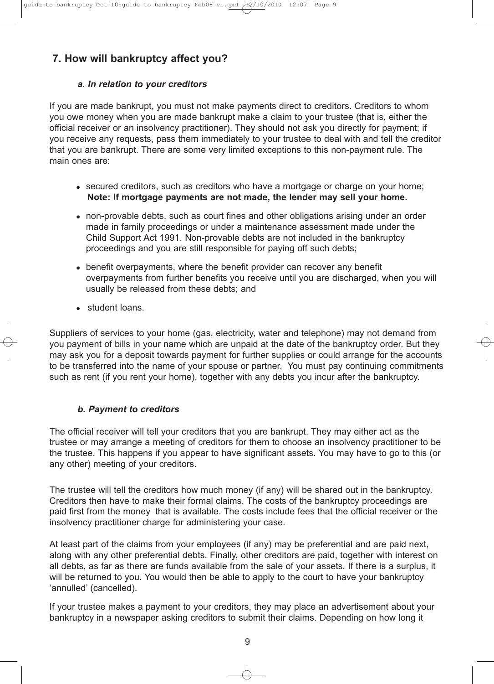## **7. How will bankruptcy affect you?**

## *a. In relation to your creditors*

If you are made bankrupt, you must not make payments direct to creditors. Creditors to whom you owe money when you are made bankrupt make a claim to your trustee (that is, either the official receiver or an insolvency practitioner). They should not ask you directly for payment; if you receive any requests, pass them immediately to your trustee to deal with and tell the creditor that you are bankrupt. There are some very limited exceptions to this non-payment rule. The main ones are:

- secured creditors, such as creditors who have a mortgage or charge on your home; **Note: If mortgage payments are not made, the lender may sell your home.**
- non-provable debts, such as court fines and other obligations arising under an order made in family proceedings or under a maintenance assessment made under the Child Support Act 1991. Non-provable debts are not included in the bankruptcy proceedings and you are still responsible for paying off such debts;
- benefit overpayments, where the benefit provider can recover any benefit overpayments from further benefits you receive until you are discharged, when you will usually be released from these debts; and
- student loans.

Suppliers of services to your home (gas, electricity, water and telephone) may not demand from you payment of bills in your name which are unpaid at the date of the bankruptcy order. But they may ask you for a deposit towards payment for further supplies or could arrange for the accounts to be transferred into the name of your spouse or partner. You must pay continuing commitments such as rent (if you rent your home), together with any debts you incur after the bankruptcy.

## *b. Payment to creditors*

The official receiver will tell your creditors that you are bankrupt. They may either act as the trustee or may arrange a meeting of creditors for them to choose an insolvency practitioner to be the trustee. This happens if you appear to have significant assets. You may have to go to this (or any other) meeting of your creditors.

The trustee will tell the creditors how much money (if any) will be shared out in the bankruptcy. Creditors then have to make their formal claims. The costs of the bankruptcy proceedings are paid first from the money that is available. The costs include fees that the official receiver or the insolvency practitioner charge for administering your case.

At least part of the claims from your employees (if any) may be preferential and are paid next, along with any other preferential debts. Finally, other creditors are paid, together with interest on all debts, as far as there are funds available from the sale of your assets. If there is a surplus, it will be returned to you. You would then be able to apply to the court to have your bankruptcy 'annulled' (cancelled).

If your trustee makes a payment to your creditors, they may place an advertisement about your bankruptcy in a newspaper asking creditors to submit their claims. Depending on how long it

9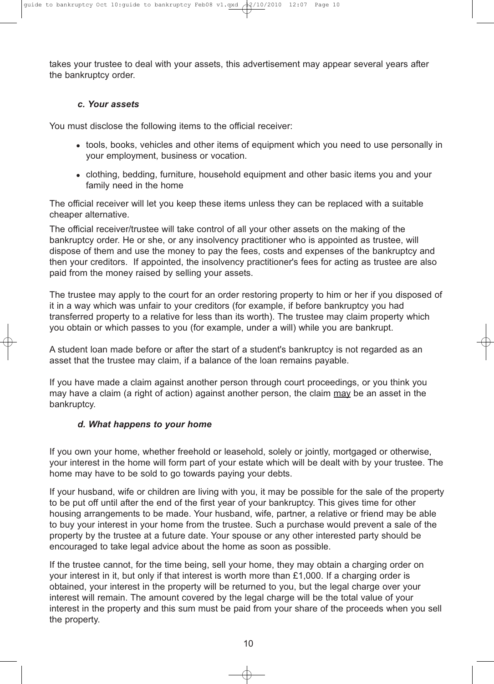takes your trustee to deal with your assets, this advertisement may appear several years after the bankruptcy order.

## *c. Your assets*

You must disclose the following items to the official receiver:

- tools, books, vehicles and other items of equipment which you need to use personally in your employment, business or vocation.
- clothing, bedding, furniture, household equipment and other basic items you and your family need in the home

The official receiver will let you keep these items unless they can be replaced with a suitable cheaper alternative.

The official receiver/trustee will take control of all your other assets on the making of the bankruptcy order. He or she, or any insolvency practitioner who is appointed as trustee, will dispose of them and use the money to pay the fees, costs and expenses of the bankruptcy and then your creditors. If appointed, the insolvency practitioner's fees for acting as trustee are also paid from the money raised by selling your assets.

The trustee may apply to the court for an order restoring property to him or her if you disposed of it in a way which was unfair to your creditors (for example, if before bankruptcy you had transferred property to a relative for less than its worth). The trustee may claim property which you obtain or which passes to you (for example, under a will) while you are bankrupt.

A student loan made before or after the start of a student's bankruptcy is not regarded as an asset that the trustee may claim, if a balance of the loan remains payable.

If you have made a claim against another person through court proceedings, or you think you may have a claim (a right of action) against another person, the claim may be an asset in the bankruptcy.

## *d. What happens to your home*

If you own your home, whether freehold or leasehold, solely or jointly, mortgaged or otherwise, your interest in the home will form part of your estate which will be dealt with by your trustee. The home may have to be sold to go towards paying your debts.

If your husband, wife or children are living with you, it may be possible for the sale of the property to be put off until after the end of the first year of your bankruptcy. This gives time for other housing arrangements to be made. Your husband, wife, partner, a relative or friend may be able to buy your interest in your home from the trustee. Such a purchase would prevent a sale of the property by the trustee at a future date. Your spouse or any other interested party should be encouraged to take legal advice about the home as soon as possible.

If the trustee cannot, for the time being, sell your home, they may obtain a charging order on your interest in it, but only if that interest is worth more than £1,000. If a charging order is obtained, your interest in the property will be returned to you, but the legal charge over your interest will remain. The amount covered by the legal charge will be the total value of your interest in the property and this sum must be paid from your share of the proceeds when you sell the property.

10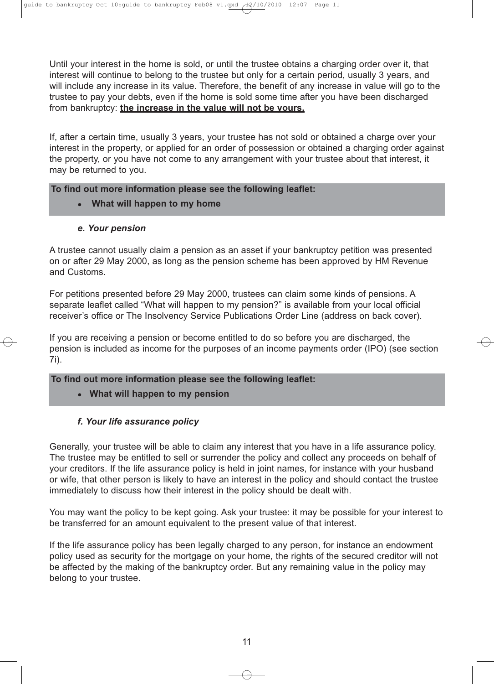Until your interest in the home is sold, or until the trustee obtains a charging order over it, that interest will continue to belong to the trustee but only for a certain period, usually 3 years, and will include any increase in its value. Therefore, the benefit of any increase in value will go to the trustee to pay your debts, even if the home is sold some time after you have been discharged from bankruptcy: **the increase in the value will not be yours.**

If, after a certain time, usually 3 years, your trustee has not sold or obtained a charge over your interest in the property, or applied for an order of possession or obtained a charging order against the property, or you have not come to any arrangement with your trustee about that interest, it may be returned to you.

#### **To find out more information please see the following leaflet:**

#### $\bullet$ **What will happen to my home**

## *e. Your pension*

A trustee cannot usually claim a pension as an asset if your bankruptcy petition was presented on or after 29 May 2000, as long as the pension scheme has been approved by HM Revenue and Customs.

For petitions presented before 29 May 2000, trustees can claim some kinds of pensions. A separate leaflet called "What will happen to my pension?" is available from your local official receiver's office or The Insolvency Service Publications Order Line (address on back cover).

If you are receiving a pension or become entitled to do so before you are discharged, the pension is included as income for the purposes of an income payments order (IPO) (see section 7i).

**To find out more information please see the following leaflet:**

- **What will happen to my pension**

## *f. Your life assurance policy*

Generally, your trustee will be able to claim any interest that you have in a life assurance policy. The trustee may be entitled to sell or surrender the policy and collect any proceeds on behalf of your creditors. If the life assurance policy is held in joint names, for instance with your husband or wife, that other person is likely to have an interest in the policy and should contact the trustee immediately to discuss how their interest in the policy should be dealt with.

You may want the policy to be kept going. Ask your trustee: it may be possible for your interest to be transferred for an amount equivalent to the present value of that interest.

If the life assurance policy has been legally charged to any person, for instance an endowment policy used as security for the mortgage on your home, the rights of the secured creditor will not be affected by the making of the bankruptcy order. But any remaining value in the policy may belong to your trustee.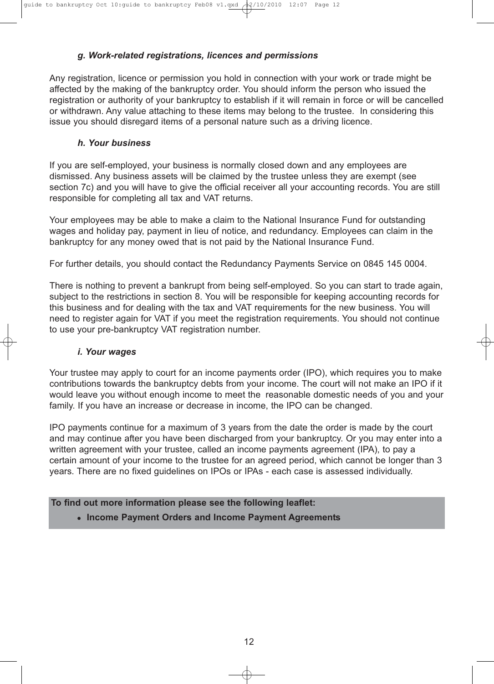## *g. Work-related registrations, licences and permissions*

Any registration, licence or permission you hold in connection with your work or trade might be affected by the making of the bankruptcy order. You should inform the person who issued the registration or authority of your bankruptcy to establish if it will remain in force or will be cancelled or withdrawn. Any value attaching to these items may belong to the trustee. In considering this issue you should disregard items of a personal nature such as a driving licence.

## *h. Your business*

If you are self-employed, your business is normally closed down and any employees are dismissed. Any business assets will be claimed by the trustee unless they are exempt (see section 7c) and you will have to give the official receiver all your accounting records. You are still responsible for completing all tax and VAT returns.

Your employees may be able to make a claim to the National Insurance Fund for outstanding wages and holiday pay, payment in lieu of notice, and redundancy. Employees can claim in the bankruptcy for any money owed that is not paid by the National Insurance Fund.

For further details, you should contact the Redundancy Payments Service on 0845 145 0004.

There is nothing to prevent a bankrupt from being self-employed. So you can start to trade again, subject to the restrictions in section 8. You will be responsible for keeping accounting records for this business and for dealing with the tax and VAT requirements for the new business. You will need to register again for VAT if you meet the registration requirements. You should not continue to use your pre-bankruptcy VAT registration number.

#### *i. Your wages*

Your trustee may apply to court for an income payments order (IPO), which requires you to make contributions towards the bankruptcy debts from your income. The court will not make an IPO if it would leave you without enough income to meet the reasonable domestic needs of you and your family. If you have an increase or decrease in income, the IPO can be changed.

IPO payments continue for a maximum of 3 years from the date the order is made by the court and may continue after you have been discharged from your bankruptcy. Or you may enter into a written agreement with your trustee, called an income payments agreement (IPA), to pay a certain amount of your income to the trustee for an agreed period, which cannot be longer than 3 years. There are no fixed guidelines on IPOs or IPAs - each case is assessed individually.

## **To find out more information please see the following leaflet:**

- **Income Payment Orders and Income Payment Agreements**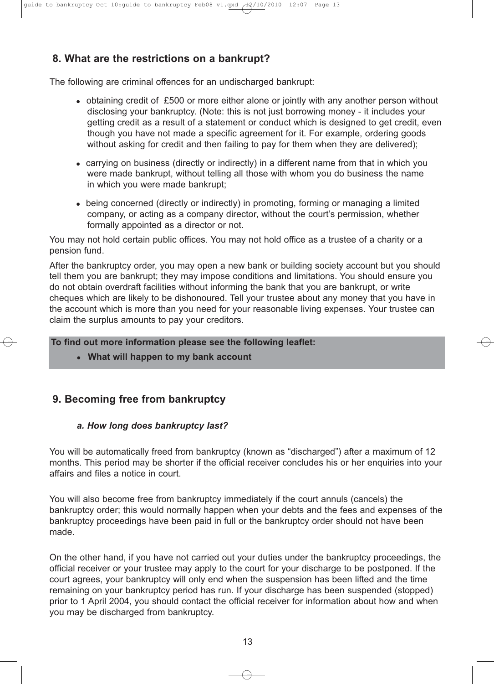## **8. What are the restrictions on a bankrupt?**

The following are criminal offences for an undischarged bankrupt:

- obtaining credit of £500 or more either alone or jointly with any another person without disclosing your bankruptcy. (Note: this is not just borrowing money - it includes your getting credit as a result of a statement or conduct which is designed to get credit, even though you have not made a specific agreement for it. For example, ordering goods without asking for credit and then failing to pay for them when they are delivered);
- carrying on business (directly or indirectly) in a different name from that in which you were made bankrupt, without telling all those with whom you do business the name in which you were made bankrupt;
- being concerned (directly or indirectly) in promoting, forming or managing a limited company, or acting as a company director, without the court's permission, whether formally appointed as a director or not.

You may not hold certain public offices. You may not hold office as a trustee of a charity or a pension fund.

After the bankruptcy order, you may open a new bank or building society account but you should tell them you are bankrupt; they may impose conditions and limitations. You should ensure you do not obtain overdraft facilities without informing the bank that you are bankrupt, or write cheques which are likely to be dishonoured. Tell your trustee about any money that you have in the account which is more than you need for your reasonable living expenses. Your trustee can claim the surplus amounts to pay your creditors.

**To find out more information please see the following leaflet:**

- **What will happen to my bank account**

## **9. Becoming free from bankruptcy**

## *a. How long does bankruptcy last?*

You will be automatically freed from bankruptcy (known as "discharged") after a maximum of 12 months. This period may be shorter if the official receiver concludes his or her enquiries into your affairs and files a notice in court.

You will also become free from bankruptcy immediately if the court annuls (cancels) the bankruptcy order; this would normally happen when your debts and the fees and expenses of the bankruptcy proceedings have been paid in full or the bankruptcy order should not have been made.

On the other hand, if you have not carried out your duties under the bankruptcy proceedings, the official receiver or your trustee may apply to the court for your discharge to be postponed. If the court agrees, your bankruptcy will only end when the suspension has been lifted and the time remaining on your bankruptcy period has run. If your discharge has been suspended (stopped) prior to 1 April 2004, you should contact the official receiver for information about how and when you may be discharged from bankruptcy.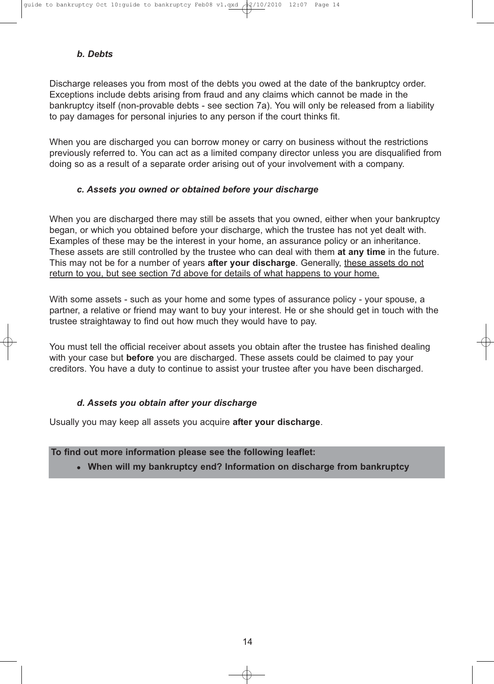## *b. Debts*

Discharge releases you from most of the debts you owed at the date of the bankruptcy order. Exceptions include debts arising from fraud and any claims which cannot be made in the bankruptcy itself (non-provable debts - see section 7a). You will only be released from a liability to pay damages for personal injuries to any person if the court thinks fit.

When you are discharged you can borrow money or carry on business without the restrictions previously referred to. You can act as a limited company director unless you are disqualified from doing so as a result of a separate order arising out of your involvement with a company.

## *c. Assets you owned or obtained before your discharge*

When you are discharged there may still be assets that you owned, either when your bankruptcy began, or which you obtained before your discharge, which the trustee has not yet dealt with. Examples of these may be the interest in your home, an assurance policy or an inheritance. These assets are still controlled by the trustee who can deal with them **at any time** in the future. This may not be for a number of years **after your discharge**. Generally, these assets do not return to you, but see section 7d above for details of what happens to your home.

With some assets - such as your home and some types of assurance policy - your spouse, a partner, a relative or friend may want to buy your interest. He or she should get in touch with the trustee straightaway to find out how much they would have to pay.

You must tell the official receiver about assets you obtain after the trustee has finished dealing with your case but **before** you are discharged. These assets could be claimed to pay your creditors. You have a duty to continue to assist your trustee after you have been discharged.

## *d. Assets you obtain after your discharge*

Usually you may keep all assets you acquire **after your discharge**.

## **To find out more information please see the following leaflet:**

- **When will my bankruptcy end? Information on discharge from bankruptcy**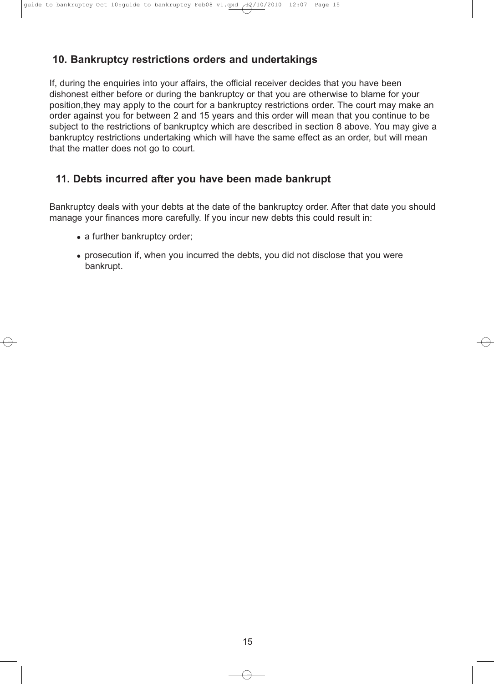## **10. Bankruptcy restrictions orders and undertakings**

If, during the enquiries into your affairs, the official receiver decides that you have been dishonest either before or during the bankruptcy or that you are otherwise to blame for your position,they may apply to the court for a bankruptcy restrictions order. The court may make an order against you for between 2 and 15 years and this order will mean that you continue to be subject to the restrictions of bankruptcy which are described in section 8 above. You may give a bankruptcy restrictions undertaking which will have the same effect as an order, but will mean that the matter does not go to court.

## **11. Debts incurred after you have been made bankrupt**

Bankruptcy deals with your debts at the date of the bankruptcy order. After that date you should manage your finances more carefully. If you incur new debts this could result in:

- a further bankruptcy order;
- prosecution if, when you incurred the debts, you did not disclose that you were bankrupt.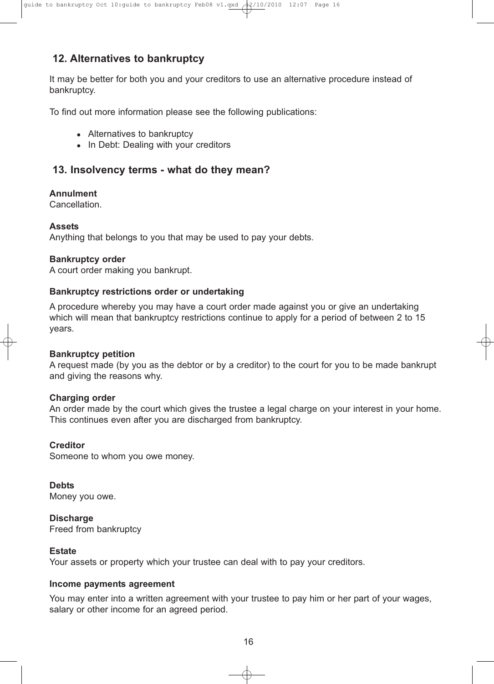## **12. Alternatives to bankruptcy**

It may be better for both you and your creditors to use an alternative procedure instead of bankruptcy.

To find out more information please see the following publications:

- Alternatives to bankruptcy
- In Debt: Dealing with your creditors

## **13. Insolvency terms - what do they mean?**

## **Annulment**

Cancellation.

## **Assets**

Anything that belongs to you that may be used to pay your debts.

## **Bankruptcy order**

A court order making you bankrupt.

## **Bankruptcy restrictions order or undertaking**

A procedure whereby you may have a court order made against you or give an undertaking which will mean that bankruptcy restrictions continue to apply for a period of between 2 to 15 years.

## **Bankruptcy petition**

A request made (by you as the debtor or by a creditor) to the court for you to be made bankrupt and giving the reasons why.

## **Charging order**

An order made by the court which gives the trustee a legal charge on your interest in your home. This continues even after you are discharged from bankruptcy.

#### **Creditor**

Someone to whom you owe money.

## **Debts**

Money you owe.

**Discharge** Freed from bankruptcy

#### **Estate**

Your assets or property which your trustee can deal with to pay your creditors.

#### **Income payments agreement**

You may enter into a written agreement with your trustee to pay him or her part of your wages, salary or other income for an agreed period.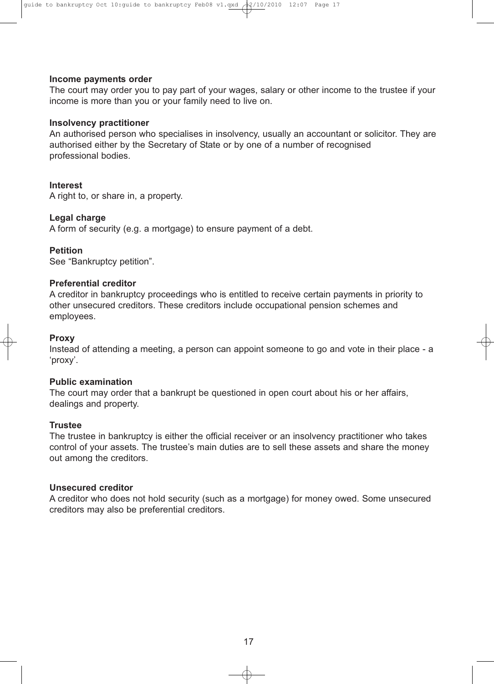#### **Income payments order**

The court may order you to pay part of your wages, salary or other income to the trustee if your income is more than you or your family need to live on.

#### **Insolvency practitioner**

An authorised person who specialises in insolvency, usually an accountant or solicitor. They are authorised either by the Secretary of State or by one of a number of recognised professional bodies.

#### **Interest**

A right to, or share in, a property.

#### **Legal charge**

A form of security (e.g. a mortgage) to ensure payment of a debt.

#### **Petition**

See "Bankruptcy petition".

#### **Preferential creditor**

A creditor in bankruptcy proceedings who is entitled to receive certain payments in priority to other unsecured creditors. These creditors include occupational pension schemes and employees.

## **Proxy**

Instead of attending a meeting, a person can appoint someone to go and vote in their place - a 'proxy'.

#### **Public examination**

The court may order that a bankrupt be questioned in open court about his or her affairs, dealings and property.

#### **Trustee**

The trustee in bankruptcy is either the official receiver or an insolvency practitioner who takes control of your assets. The trustee's main duties are to sell these assets and share the money out among the creditors.

#### **Unsecured creditor**

A creditor who does not hold security (such as a mortgage) for money owed. Some unsecured creditors may also be preferential creditors.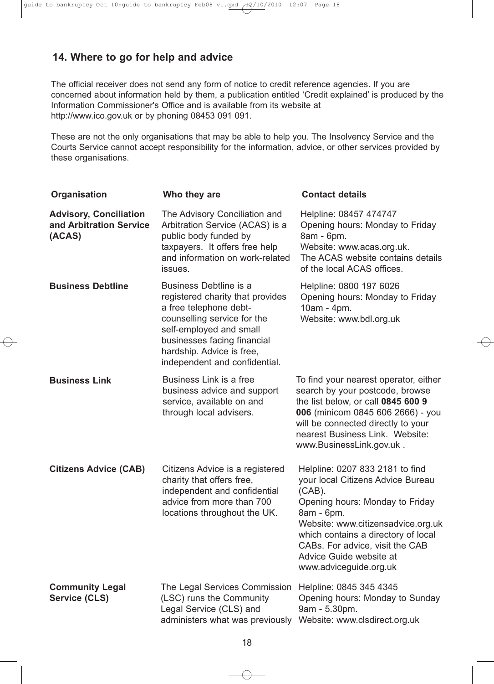## **14. Where to go for help and advice**

The official receiver does not send any form of notice to credit reference agencies. If you are concerned about information held by them, a publication entitled 'Credit explained' is produced by the Information Commissioner's Office and is available from its website at http://www.ico.gov.uk or by phoning 08453 091 091.

These are not the only organisations that may be able to help you. The Insolvency Service and the Courts Service cannot accept responsibility for the information, advice, or other services provided by these organisations.

| <b>Organisation</b>                                                | Who they are                                                                                                                                                                                                                                | <b>Contact details</b>                                                                                                                                                                                                                                                                                  |
|--------------------------------------------------------------------|---------------------------------------------------------------------------------------------------------------------------------------------------------------------------------------------------------------------------------------------|---------------------------------------------------------------------------------------------------------------------------------------------------------------------------------------------------------------------------------------------------------------------------------------------------------|
| <b>Advisory, Conciliation</b><br>and Arbitration Service<br>(ACAS) | The Advisory Conciliation and<br>Arbitration Service (ACAS) is a<br>public body funded by<br>taxpayers. It offers free help<br>and information on work-related<br>issues.                                                                   | Helpline: 08457 474747<br>Opening hours: Monday to Friday<br>8am - 6pm.<br>Website: www.acas.org.uk.<br>The ACAS website contains details<br>of the local ACAS offices.                                                                                                                                 |
| <b>Business Debtline</b>                                           | Business Debtline is a<br>registered charity that provides<br>a free telephone debt-<br>counselling service for the<br>self-employed and small<br>businesses facing financial<br>hardship. Advice is free,<br>independent and confidential. | Helpline: 0800 197 6026<br>Opening hours: Monday to Friday<br>10am - 4pm.<br>Website: www.bdl.org.uk                                                                                                                                                                                                    |
| <b>Business Link</b>                                               | Business Link is a free<br>business advice and support<br>service, available on and<br>through local advisers.                                                                                                                              | To find your nearest operator, either<br>search by your postcode, browse<br>the list below, or call 0845 600 9<br>006 (minicom 0845 606 2666) - you<br>will be connected directly to your<br>nearest Business Link. Website:<br>www.BusinessLink.gov.uk.                                                |
| <b>Citizens Advice (CAB)</b>                                       | Citizens Advice is a registered<br>charity that offers free,<br>independent and confidential<br>advice from more than 700<br>locations throughout the UK.                                                                                   | Helpline: 0207 833 2181 to find<br>your local Citizens Advice Bureau<br>$(CAB)$ .<br>Opening hours: Monday to Friday<br>8am - 6pm.<br>Website: www.citizensadvice.org.uk<br>which contains a directory of local<br>CABs. For advice, visit the CAB<br>Advice Guide website at<br>www.adviceguide.org.uk |
| <b>Community Legal</b><br><b>Service (CLS)</b>                     | The Legal Services Commission<br>(LSC) runs the Community<br>Legal Service (CLS) and<br>administers what was previously                                                                                                                     | Helpline: 0845 345 4345<br>Opening hours: Monday to Sunday<br>9am - 5.30pm.<br>Website: www.clsdirect.org.uk                                                                                                                                                                                            |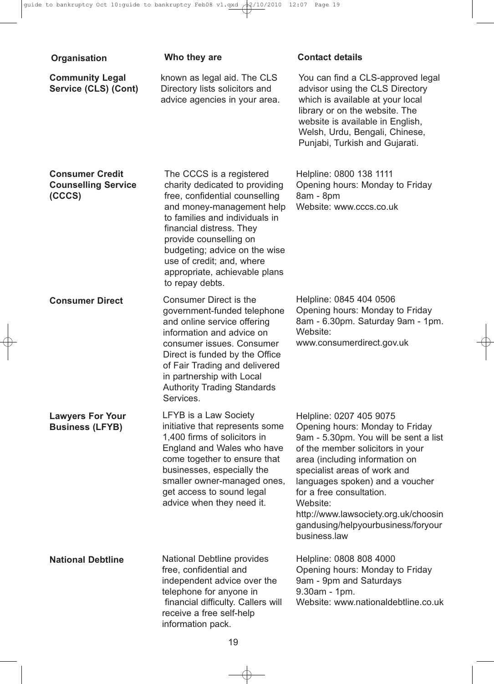| <b>Organisation</b>                                            | Who they are                                                                                                                                                                                                                                                                                                                        | <b>Contact details</b>                                                                                                                                                                                                                                                                                                                                                             |
|----------------------------------------------------------------|-------------------------------------------------------------------------------------------------------------------------------------------------------------------------------------------------------------------------------------------------------------------------------------------------------------------------------------|------------------------------------------------------------------------------------------------------------------------------------------------------------------------------------------------------------------------------------------------------------------------------------------------------------------------------------------------------------------------------------|
| <b>Community Legal</b><br>Service (CLS) (Cont)                 | known as legal aid. The CLS<br>Directory lists solicitors and<br>advice agencies in your area.                                                                                                                                                                                                                                      | You can find a CLS-approved legal<br>advisor using the CLS Directory<br>which is available at your local<br>library or on the website. The<br>website is available in English,<br>Welsh, Urdu, Bengali, Chinese,<br>Punjabi, Turkish and Gujarati.                                                                                                                                 |
| <b>Consumer Credit</b><br><b>Counselling Service</b><br>(CCCS) | The CCCS is a registered<br>charity dedicated to providing<br>free, confidential counselling<br>and money-management help<br>to families and individuals in<br>financial distress. They<br>provide counselling on<br>budgeting; advice on the wise<br>use of credit; and, where<br>appropriate, achievable plans<br>to repay debts. | Helpline: 0800 138 1111<br>Opening hours: Monday to Friday<br>8am - 8pm<br>Website: www.cccs.co.uk                                                                                                                                                                                                                                                                                 |
| <b>Consumer Direct</b>                                         | <b>Consumer Direct is the</b><br>government-funded telephone<br>and online service offering<br>information and advice on<br>consumer issues. Consumer<br>Direct is funded by the Office<br>of Fair Trading and delivered<br>in partnership with Local<br><b>Authority Trading Standards</b><br>Services.                            | Helpline: 0845 404 0506<br>Opening hours: Monday to Friday<br>8am - 6.30pm. Saturday 9am - 1pm.<br>Website:<br>www.consumerdirect.gov.uk                                                                                                                                                                                                                                           |
| <b>Lawyers For Your</b><br><b>Business (LFYB)</b>              | <b>LFYB</b> is a Law Society<br>initiative that represents some<br>1,400 firms of solicitors in<br>England and Wales who have<br>come together to ensure that<br>businesses, especially the<br>smaller owner-managed ones,<br>get access to sound legal<br>advice when they need it.                                                | Helpline: 0207 405 9075<br>Opening hours: Monday to Friday<br>9am - 5.30pm. You will be sent a list<br>of the member solicitors in your<br>area (including information on<br>specialist areas of work and<br>languages spoken) and a voucher<br>for a free consultation.<br>Website:<br>http://www.lawsociety.org.uk/choosin<br>gandusing/helpyourbusiness/foryour<br>business.law |
| <b>National Debtline</b>                                       | National Debtline provides<br>free, confidential and<br>independent advice over the<br>telephone for anyone in<br>financial difficulty. Callers will<br>receive a free self-help<br>information pack.                                                                                                                               | Helpline: 0808 808 4000<br>Opening hours: Monday to Friday<br>9am - 9pm and Saturdays<br>9.30am - 1pm.<br>Website: www.nationaldebtline.co.uk                                                                                                                                                                                                                                      |

 $\overline{\mathcal{A}}$ 

 $\rightarrow$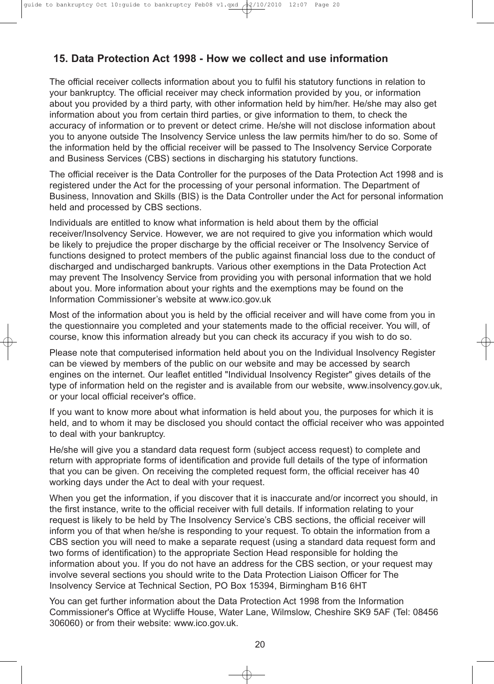## **15. Data Protection Act 1998 - How we collect and use information**

The official receiver collects information about you to fulfil his statutory functions in relation to your bankruptcy. The official receiver may check information provided by you, or information about you provided by a third party, with other information held by him/her. He/she may also get information about you from certain third parties, or give information to them, to check the accuracy of information or to prevent or detect crime. He/she will not disclose information about you to anyone outside The Insolvency Service unless the law permits him/her to do so. Some of the information held by the official receiver will be passed to The Insolvency Service Corporate and Business Services (CBS) sections in discharging his statutory functions.

The official receiver is the Data Controller for the purposes of the Data Protection Act 1998 and is registered under the Act for the processing of your personal information. The Department of Business, Innovation and Skills (BIS) is the Data Controller under the Act for personal information held and processed by CBS sections.

Individuals are entitled to know what information is held about them by the official receiver/Insolvency Service. However, we are not required to give you information which would be likely to prejudice the proper discharge by the official receiver or The Insolvency Service of functions designed to protect members of the public against financial loss due to the conduct of discharged and undischarged bankrupts. Various other exemptions in the Data Protection Act may prevent The Insolvency Service from providing you with personal information that we hold about you. More information about your rights and the exemptions may be found on the Information Commissioner's website at www.ico.gov.uk

Most of the information about you is held by the official receiver and will have come from you in the questionnaire you completed and your statements made to the official receiver. You will, of course, know this information already but you can check its accuracy if you wish to do so.

Please note that computerised information held about you on the Individual Insolvency Register can be viewed by members of the public on our website and may be accessed by search engines on the internet. Our leaflet entitled "Individual Insolvency Register" gives details of the type of information held on the register and is available from our website, www.insolvency.gov.uk, or your local official receiver's office.

If you want to know more about what information is held about you, the purposes for which it is held, and to whom it may be disclosed you should contact the official receiver who was appointed to deal with your bankruptcy.

He/she will give you a standard data request form (subject access request) to complete and return with appropriate forms of identification and provide full details of the type of information that you can be given. On receiving the completed request form, the official receiver has 40 working days under the Act to deal with your request.

When you get the information, if you discover that it is inaccurate and/or incorrect you should, in the first instance, write to the official receiver with full details. If information relating to your request is likely to be held by The Insolvency Service's CBS sections, the official receiver will inform you of that when he/she is responding to your request. To obtain the information from a CBS section you will need to make a separate request (using a standard data request form and two forms of identification) to the appropriate Section Head responsible for holding the information about you. If you do not have an address for the CBS section, or your request may involve several sections you should write to the Data Protection Liaison Officer for The Insolvency Service at Technical Section, PO Box 15394, Birmingham B16 6HT

You can get further information about the Data Protection Act 1998 from the Information Commissioner's Office at Wycliffe House, Water Lane, Wilmslow, Cheshire SK9 5AF (Tel: 08456 306060) or from their website: www.ico.gov.uk.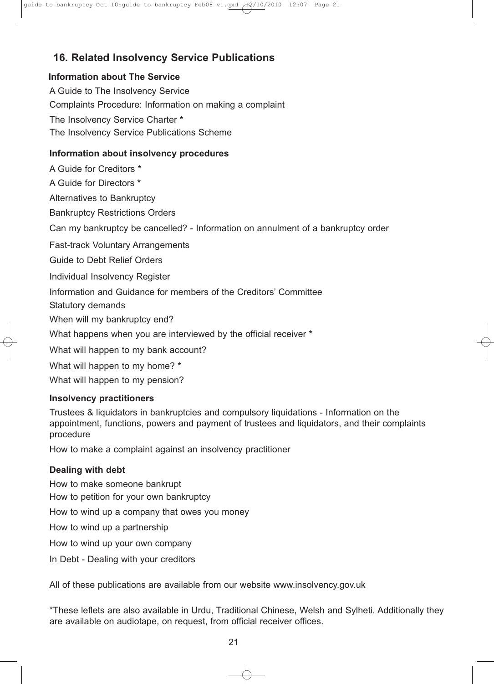## **16. Related Insolvency Service Publications**

## **Information about The Service**

A Guide to The Insolvency Service Complaints Procedure: Information on making a complaint The Insolvency Service Charter **\*** The Insolvency Service Publications Scheme

## **Information about insolvency procedures**

A Guide for Creditors **\*** A Guide for Directors **\*** Can my bankruptcy be cancelled? - Information on annulment of a bankruptcy order Information and Guidance for members of the Creditors' Committee What happens when you are interviewed by the official receiver **\*** What will happen to my pension? What will happen to my bank account? What will happen to my home? **\*** When will my bankruptcy end? Bankruptcy Restrictions Orders Individual Insolvency Register Alternatives to Bankruptcy Fast-track Voluntary Arrangements Statutory demands Guide to Debt Relief Orders

## **Insolvency practitioners**

Trustees & liquidators in bankruptcies and compulsory liquidations - Information on the appointment, functions, powers and payment of trustees and liquidators, and their complaints procedure

How to make a complaint against an insolvency practitioner

## **Dealing with debt**

How to petition for your own bankruptcy How to make someone bankrupt How to wind up a company that owes you money How to wind up your own company How to wind up a partnership

In Debt - Dealing with your creditors

All of these publications are available from our website www.insolvency.gov.uk

\*These leflets are also available in Urdu, Traditional Chinese, Welsh and Sylheti. Additionally they are available on audiotape, on request, from official receiver offices.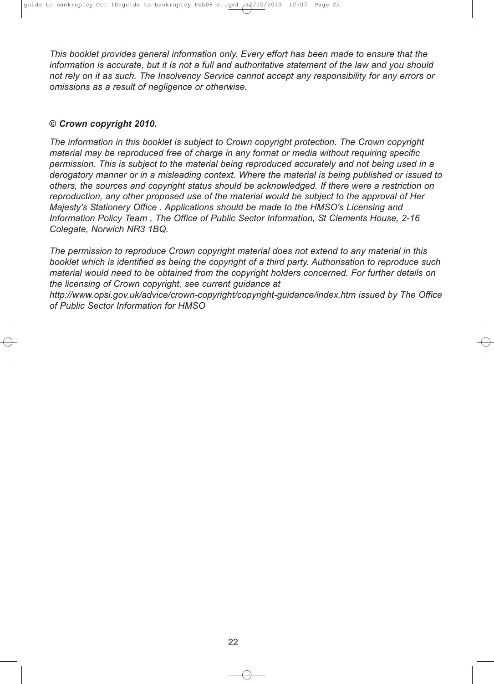*This booklet provides general information only. Every effort has been made to ensure that the information is accurate, but it is not a full and authoritative statement of the law and you should not rely on it as such. The Insolvency Service cannot accept any responsibility for any errors or omissions as a result of negligence or otherwise.*

#### *© Crown copyright 2010.*

*The information in this booklet is subject to Crown copyright protection. The Crown copyright material may be reproduced free of charge in any format or media without requiring specific permission. This is subject to the material being reproduced accurately and not being used in a derogatory manner or in a misleading context. Where the material is being published or issued to others, the sources and copyright status should be acknowledged. If there were a restriction on reproduction, any other proposed use of the material would be subject to the approval of Her Majesty's Stationery Office . Applications should be made to the HMSO's Licensing and Information Policy Team , The Office of Public Sector Information, St Clements House, 2-16 Colegate, Norwich NR3 1BQ.*

*The permission to reproduce Crown copyright material does not extend to any material in this booklet which is identified as being the copyright of a third party. Authorisation to reproduce such material would need to be obtained from the copyright holders concerned. For further details on the licensing of Crown copyright, see current guidance at* 

*http://www.opsi.gov.uk/advice/crown-copyright/copyright-guidance/index.htm issued by The Office of Public Sector Information for HMSO*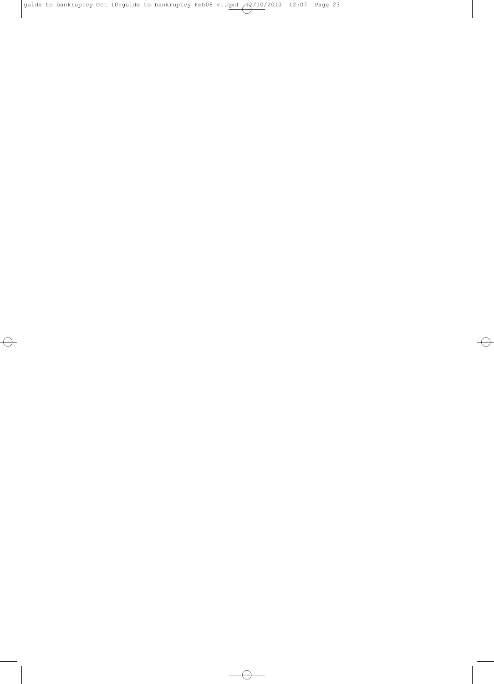guide to bankruptcy Oct 10:guide to bankruptcy Feb08 v1.qxd  $\bigotimes$ /10/2010 12:07 Page 23

 $\rightarrow$ 

 $\overline{\mathcal{A}}$